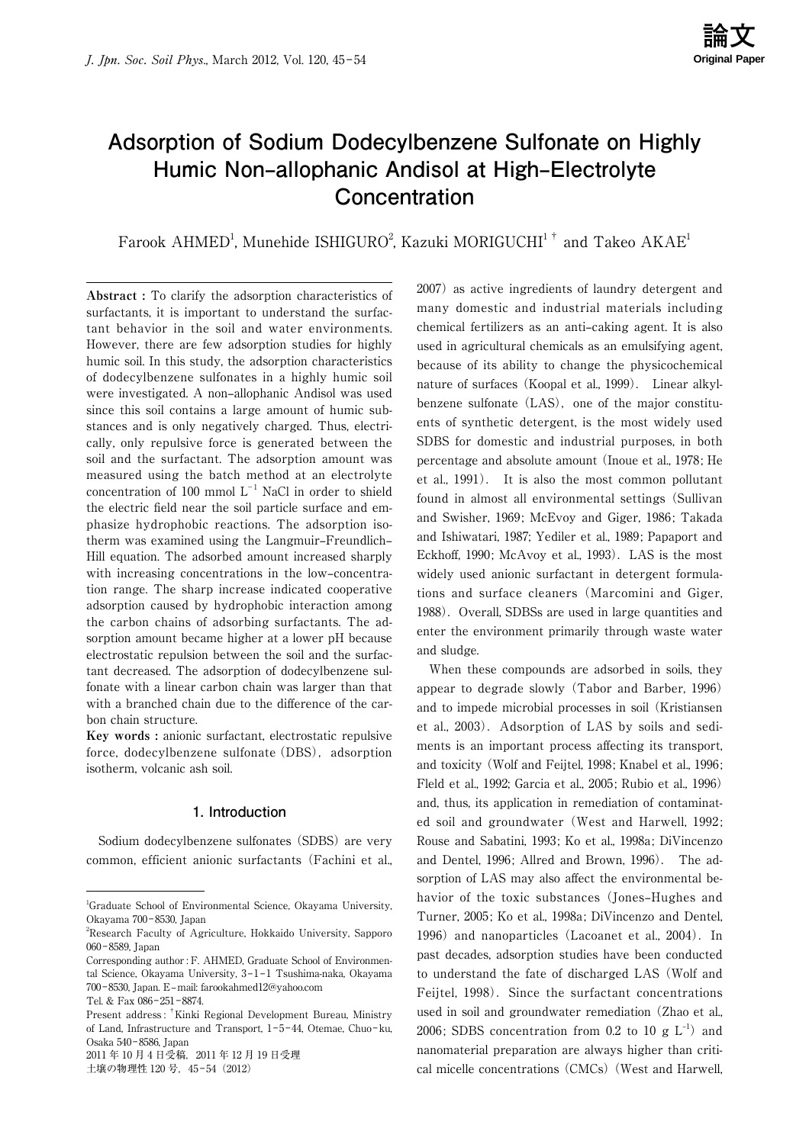# **Adsorption of Sodium Dodecylbenzene Sulfonate on Highly Humic Non-allophanic Andisol at High-Electrolyte Concentration**

Farook AHMED<sup>1</sup>, Munehide ISHIGURO<sup>2</sup>, Kazuki MORIGUCHI<sup>1†</sup> and Takeo AKAE<sup>1</sup>

**Abstract :** To clarify the adsorption characteristics of surfactants, it is important to understand the surfactant behavior in the soil and water environments. However, there are few adsorption studies for highly humic soil. In this study, the adsorption characteristics of dodecylbenzene sulfonates in a highly humic soil were investigated. A non-allophanic Andisol was used since this soil contains a large amount of humic substances and is only negatively charged. Thus, electrically, only repulsive force is generated between the soil and the surfactant. The adsorption amount was measured using the batch method at an electrolyte concentration of 100 mmol  $L^{-1}$  NaCl in order to shield the electric field near the soil particle surface and emphasize hydrophobic reactions. The adsorption isotherm was examined using the Langmuir-Freundlich-Hill equation. The adsorbed amount increased sharply with increasing concentrations in the low–concentration range. The sharp increase indicated cooperative adsorption caused by hydrophobic interaction among the carbon chains of adsorbing surfactants. The adsorption amount became higher at a lower pH because electrostatic repulsion between the soil and the surfactant decreased. The adsorption of dodecylbenzene sulfonate with a linear carbon chain was larger than that with a branched chain due to the difference of the carbon chain structure.

**Key words :** anionic surfactant, electrostatic repulsive force, dodecylbenzene sulfonate (DBS), adsorption isotherm, volcanic ash soil.

# **1. Introduction**

 Sodium dodecylbenzene sulfonates (SDBS) are very common, efficient anionic surfactants (Fachini et al.,

2011 年 10 月 4 日受稿,2011 年 12 月 19 日受理 土壌の物理性 120号, 45-54 (2012)

2007) as active ingredients of laundry detergent and many domestic and industrial materials including chemical fertilizers as an anti-caking agent. It is also used in agricultural chemicals as an emulsifying agent, because of its ability to change the physicochemical nature of surfaces (Koopal et al., 1999). Linear alkylbenzene sulfonate (LAS), one of the major constituents of synthetic detergent, is the most widely used SDBS for domestic and industrial purposes, in both percentage and absolute amount (Inoue et al., 1978; He et al., 1991). It is also the most common pollutant found in almost all environmental settings (Sullivan and Swisher, 1969; McEvoy and Giger, 1986; Takada and Ishiwatari, 1987; Yediler et al., 1989; Papaport and Eckhoff, 1990; McAvoy et al., 1993). LAS is the most widely used anionic surfactant in detergent formulations and surface cleaners (Marcomini and Giger, 1988). Overall, SDBSs are used in large quantities and enter the environment primarily through waste water and sludge.

 When these compounds are adsorbed in soils, they appear to degrade slowly (Tabor and Barber, 1996) and to impede microbial processes in soil (Kristiansen et al., 2003). Adsorption of LAS by soils and sediments is an important process affecting its transport, and toxicity (Wolf and Feijtel, 1998; Knabel et al., 1996; Fleld et al., 1992; Garcia et al., 2005; Rubio et al., 1996) and, thus, its application in remediation of contaminated soil and groundwater (West and Harwell, 1992; Rouse and Sabatini, 1993; Ko et al., 1998a; DiVincenzo and Dentel, 1996; Allred and Brown, 1996). The adsorption of LAS may also affect the environmental behavior of the toxic substances (Jones-Hughes and Turner, 2005; Ko et al., 1998a; DiVincenzo and Dentel, 1996) and nanoparticles (Lacoanet et al., 2004). In past decades, adsorption studies have been conducted to understand the fate of discharged LAS (Wolf and Feijtel, 1998). Since the surfactant concentrations used in soil and groundwater remediation (Zhao et al., 2006; SDBS concentration from 0.2 to 10  $g L^{-1}$  and nanomaterial preparation are always higher than critical micelle concentrations (CMCs)(West and Harwell,

<sup>1</sup> Graduate School of Environmental Science, Okayama University, Okayama 700-8530, Japan

<sup>2</sup> Research Faculty of Agriculture, Hokkaido University, Sapporo 060-8589, Japan

Corresponding author : F. AHMED, Graduate School of Environmental Science, Okayama University, 3-1-1 Tsushima-naka, Okayama 700‒8530, Japan. E‒mail: farookahmed12@yahoo.com

Tel. & Fax 086-251-8874

Present address : †Kinki Regional Development Bureau, Ministry of Land, Infrastructure and Transport, 1-5-44, Otemae, Chuo-ku, Osaka 540‒8586, Japan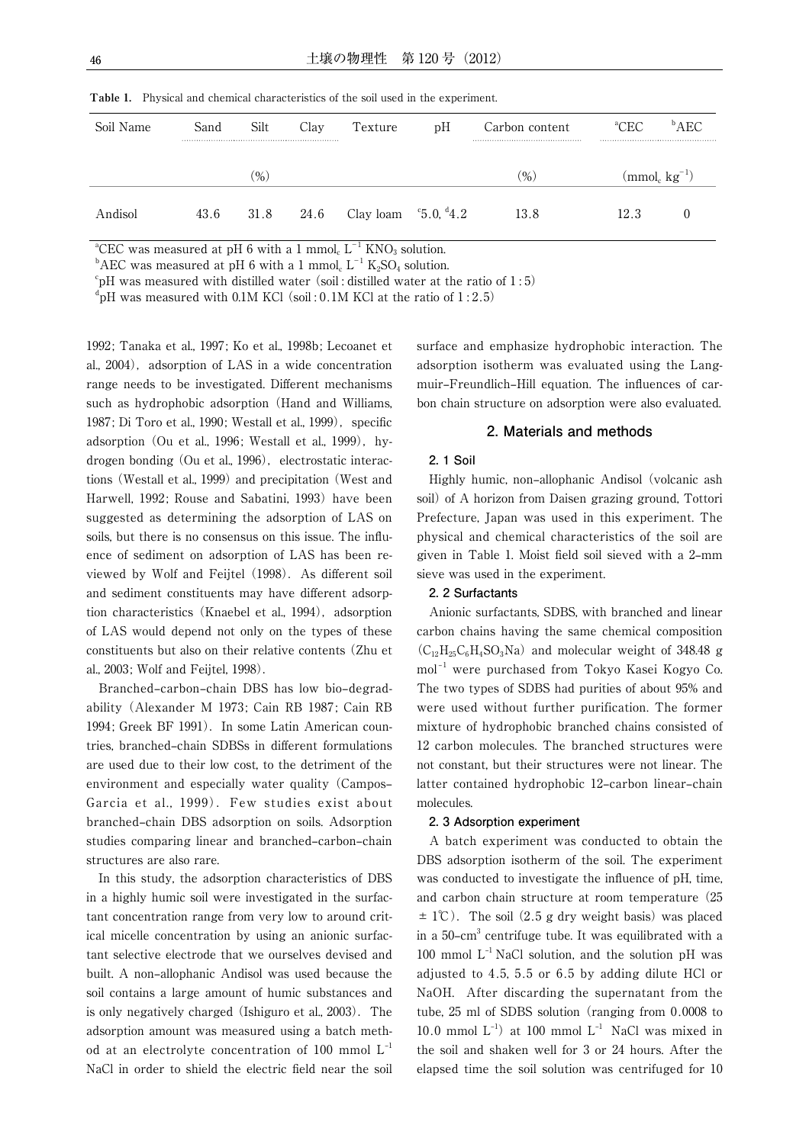| Soil Name | Sand | Silt          | Clav | Texture                                | pH | Carbon content | ${}^a$ CEC | $^{\rm b}$ AEC   |
|-----------|------|---------------|------|----------------------------------------|----|----------------|------------|------------------|
|           |      | $\frac{9}{0}$ |      |                                        |    | $(\% )$        |            | $\pmod{kg^{-1}}$ |
| Andisol   | 43.6 | 31.8          | 24.6 | Clay loam $\degree$ 5.0, $\degree$ 4.2 |    | 13.8           | 12.3       |                  |

**Table 1.** Physical and chemical characteristics of the soil used in the experiment.

<sup>a</sup>CEC was measured at pH 6 with a 1 mmol<sub>c</sub>  $L^{-1}$  KNO<sub>3</sub> solution.

 $^{\text{b}}$ AEC was measured at pH 6 with a 1 mmol<sub>c</sub> L<sup>-1</sup> K<sub>2</sub>SO<sub>4</sub> solution.

 $\mathrm{FpH}$  was measured with distilled water (soil : distilled water at the ratio of 1:5)

 ${}^{\text{d}}$ pH was measured with 0.1M KCl (soil:0.1M KCl at the ratio of 1:2.5)

1992; Tanaka et al., 1997; Ko et al., 1998b; Lecoanet et al., 2004), adsorption of LAS in a wide concentration range needs to be investigated. Different mechanisms such as hydrophobic adsorption (Hand and Williams, 1987; Di Toro et al., 1990; Westall et al., 1999), specific adsorption (Ou et al., 1996; Westall et al., 1999), hydrogen bonding (Ou et al., 1996), electrostatic interactions (Westall et al., 1999) and precipitation (West and Harwell, 1992; Rouse and Sabatini, 1993) have been suggested as determining the adsorption of LAS on soils, but there is no consensus on this issue. The influence of sediment on adsorption of LAS has been reviewed by Wolf and Feijtel (1998). As different soil and sediment constituents may have different adsorption characteristics (Knaebel et al., 1994), adsorption of LAS would depend not only on the types of these constituents but also on their relative contents (Zhu et al., 2003; Wolf and Feijtel, 1998).

Branched-carbon-chain DBS has low bio-degradability (Alexander M 1973; Cain RB 1987; Cain RB 1994; Greek BF 1991). In some Latin American countries, branched-chain SDBSs in different formulations are used due to their low cost, to the detriment of the environment and especially water quality (Campos– Garcia et al., 1999). Few studies exist about branched-chain DBS adsorption on soils. Adsorption studies comparing linear and branched-carbon-chain structures are also rare.

 In this study, the adsorption characteristics of DBS in a highly humic soil were investigated in the surfactant concentration range from very low to around critical micelle concentration by using an anionic surfactant selective electrode that we ourselves devised and built. A non-allophanic Andisol was used because the soil contains a large amount of humic substances and is only negatively charged (Ishiguro et al., 2003). The adsorption amount was measured using a batch method at an electrolyte concentration of 100 mmol  $L^{-1}$ NaCl in order to shield the electric field near the soil surface and emphasize hydrophobic interaction. The adsorption isotherm was evaluated using the Langmuir-Freundlich-Hill equation. The influences of carbon chain structure on adsorption were also evaluated.

#### **2. Materials and methods**

#### **2. 1 Soil**

Highly humic, non-allophanic Andisol (volcanic ash soil) of A horizon from Daisen grazing ground, Tottori Prefecture, Japan was used in this experiment. The physical and chemical characteristics of the soil are given in Table 1. Moist field soil sieved with a 2-mm sieve was used in the experiment.

#### **2. 2 Surfactants**

 Anionic surfactants, SDBS, with branched and linear carbon chains having the same chemical composition  $(C_{12}H_{25}C_6H_4SO_3Na)$  and molecular weight of 348.48 g mol<sup>-1</sup> were purchased from Tokyo Kasei Kogyo Co. The two types of SDBS had purities of about 95% and were used without further purification. The former mixture of hydrophobic branched chains consisted of 12 carbon molecules. The branched structures were not constant, but their structures were not linear. The latter contained hydrophobic 12-carbon linear-chain molecules.

#### **2. 3 Adsorption experiment**

 A batch experiment was conducted to obtain the DBS adsorption isotherm of the soil. The experiment was conducted to investigate the influence of pH, time, and carbon chain structure at room temperature (25  $\pm$  1°C). The soil (2.5 g dry weight basis) was placed in a 50-cm $^3$  centrifuge tube. It was equilibrated with a 100 mmol  $L^{-1}$  NaCl solution, and the solution pH was adjusted to 4.5, 5.5 or 6.5 by adding dilute HCl or NaOH. After discarding the supernatant from the tube, 25 ml of SDBS solution (ranging from 0.0008 to 10.0 mmol  $L^{-1}$ ) at 100 mmol  $L^{-1}$  NaCl was mixed in the soil and shaken well for 3 or 24 hours. After the elapsed time the soil solution was centrifuged for 10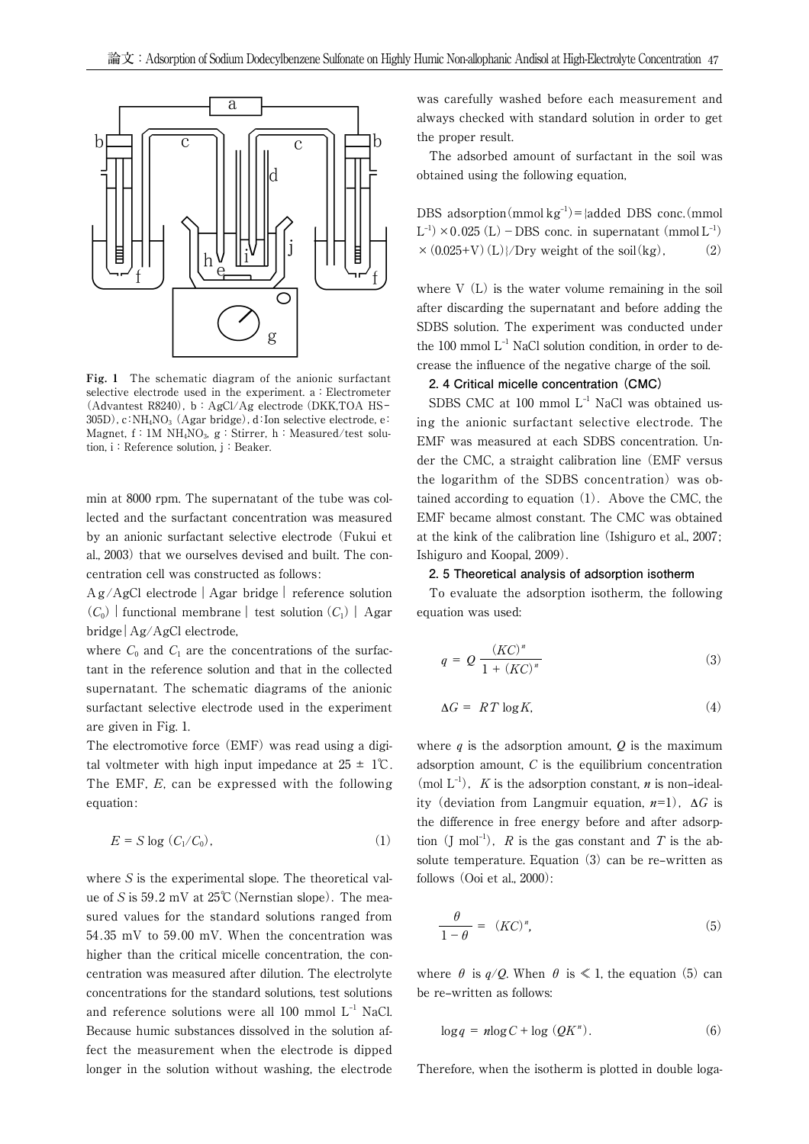

**Fig. 1** The schematic diagram of the anionic surfactant selective electrode used in the experiment. a: Electrometer (Advantest R8240), b: AgCl/Ag electrode (DKK,TOA HS- $305D$ ), c:NH<sub>4</sub>NO<sub>3</sub> (Agar bridge), d:Ion selective electrode, e: Magnet, f: 1M  $NH<sub>4</sub>NO<sub>3</sub>$ , g: Stirrer, h: Measured/test solution, i: Reference solution, i: Beaker.

min at 8000 rpm. The supernatant of the tube was collected and the surfactant concentration was measured by an anionic surfactant selective electrode (Fukui et al., 2003) that we ourselves devised and built. The concentration cell was constructed as follows:

 $Ag/AgCl$  electrode  $|Agar$  bridge  $|$  reference solution  $(C_0)$  | functional membrane | test solution  $(C_1)$  | Agar bridge | Ag/AgCl electrode,

where  $C_0$  and  $C_1$  are the concentrations of the surfactant in the reference solution and that in the collected supernatant. The schematic diagrams of the anionic surfactant selective electrode used in the experiment are given in Fig. 1.

The electromotive force (EMF) was read using a digital voltmeter with high input impedance at  $25 \pm 1^{\circ}$ C. The EMF, E, can be expressed with the following equation:

$$
E = S \log (C_1 / C_0), \qquad (1)
$$

where S is the experimental slope. The theoretical value of S is  $59.2$  mV at  $25^{\circ}$ C (Nernstian slope). The measured values for the standard solutions ranged from 54.35 mV to 59.00 mV. When the concentration was higher than the critical micelle concentration, the concentration was measured after dilution. The electrolyte concentrations for the standard solutions, test solutions and reference solutions were all  $100$  mmol  $L^{-1}$  NaCl. Because humic substances dissolved in the solution affect the measurement when the electrode is dipped longer in the solution without washing, the electrode was carefully washed before each measurement and always checked with standard solution in order to get the proper result.

 The adsorbed amount of surfactant in the soil was obtained using the following equation,

DBS adsorption (mmol  $kg^{-1}$ ) = {added DBS conc.(mmol  $L^{-1}$  × 0.025 (L) – DBS conc. in supernatant (mmol  $L^{-1}$ )  $\times$  (0.025+V)(L)}/Dry weight of the soil(kg), (2)

where V (L) is the water volume remaining in the soil after discarding the supernatant and before adding the SDBS solution. The experiment was conducted under the 100 mmol  $L^{-1}$  NaCl solution condition, in order to decrease the influence of the negative charge of the soil.

# **2. 4 Critical micelle concentration (CMC)**

SDBS CMC at 100 mmol  $L^{-1}$  NaCl was obtained using the anionic surfactant selective electrode. The EMF was measured at each SDBS concentration. Under the CMC, a straight calibration line (EMF versus the logarithm of the SDBS concentration) was obtained according to equation  $(1)$ . Above the CMC, the EMF became almost constant. The CMC was obtained at the kink of the calibration line (Ishiguro et al., 2007; Ishiguro and Koopal, 2009).

#### **2. 5 Theoretical analysis of adsorption isotherm**

 To evaluate the adsorption isotherm, the following equation was used:

$$
q = Q \frac{(KC)^n}{1 + (KC)^n} \tag{3}
$$

$$
\Delta G = RT \log K,\tag{4}
$$

where  $q$  is the adsorption amount,  $Q$  is the maximum adsorption amount, C is the equilibrium concentration (mol  $L^{-1}$ ), K is the adsorption constant, n is non-ideality (deviation from Langmuir equation,  $n=1$ ),  $\Delta G$  is the difference in free energy before and after adsorption  $(I \text{ mol}^{-1})$ , R is the gas constant and T is the absolute temperature. Equation  $(3)$  can be re-written as follows (Ooi et al., 2000):

$$
\frac{\theta}{1-\theta} = (KC)^n,\tag{5}
$$

where  $\theta$  is  $q/Q$ . When  $\theta$  is  $\leq 1$ , the equation (5) can be re-written as follows:

$$
\log q = n \log C + \log \left(QK^n\right). \tag{6}
$$

Therefore, when the isotherm is plotted in double loga-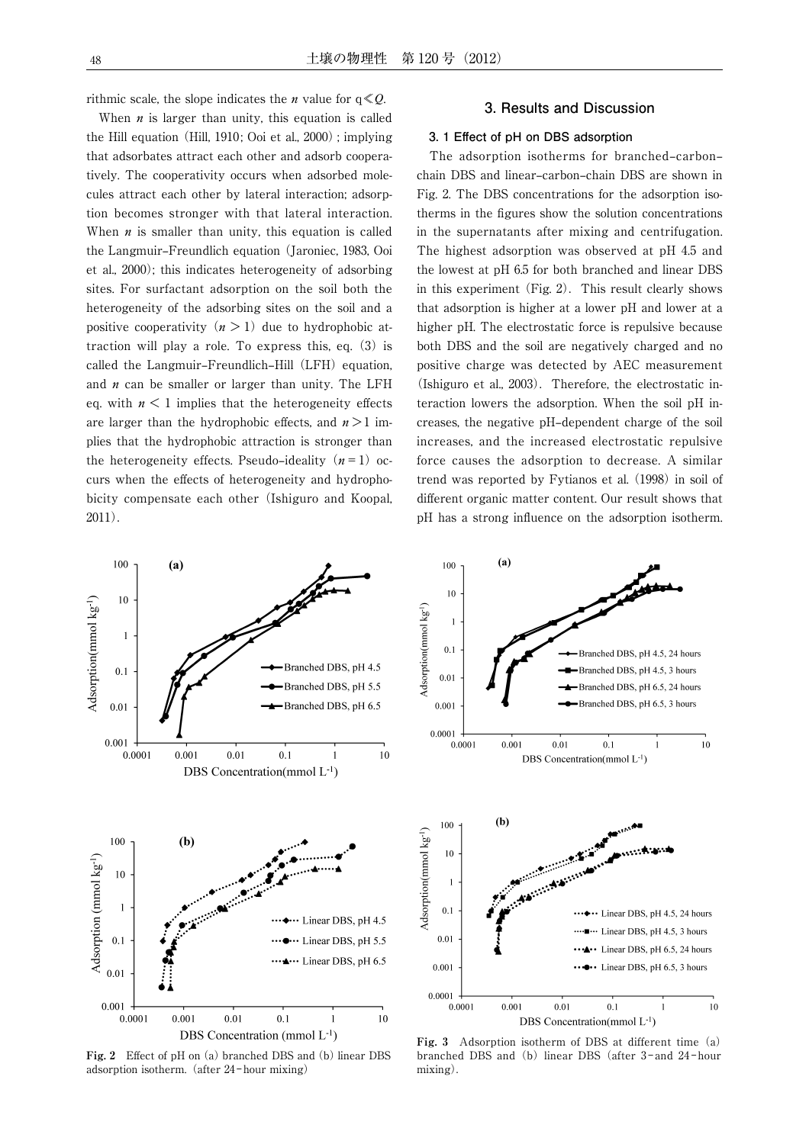rithmic scale, the slope indicates the *n* value for  $q \ll Q$ .

When  $n$  is larger than unity, this equation is called the Hill equation (Hill, 1910; Ooi et al.,  $2000$ ); implying that adsorbates attract each other and adsorb cooperatively. The cooperativity occurs when adsorbed molecules attract each other by lateral interaction; adsorption becomes stronger with that lateral interaction. When  $n$  is smaller than unity, this equation is called the Langmuir‒Freundlich equation (Jaroniec, 1983, Ooi et al., 2000); this indicates heterogeneity of adsorbing sites. For surfactant adsorption on the soil both the heterogeneity of the adsorbing sites on the soil and a positive cooperativity  $(n > 1)$  due to hydrophobic attraction will play a role. To express this, eq. (3) is called the Langmuir–Freundlich–Hill (LFH) equation, and  $n$  can be smaller or larger than unity. The LFH eq. with  $n \leq 1$  implies that the heterogeneity effects are larger than the hydrophobic effects, and  $n>1$  implies that the hydrophobic attraction is stronger than the heterogeneity effects. Pseudo-ideality  $(n = 1)$  occurs when the effects of heterogeneity and hydrophobicity compensate each other (Ishiguro and Koopal, 2011).

# **3. Results and Discussion**

## **3. 1 Eff ect of pH on DBS adsorption**

The adsorption isotherms for branched-carbonchain DBS and linear-carbon-chain DBS are shown in Fig. 2. The DBS concentrations for the adsorption isotherms in the figures show the solution concentrations in the supernatants after mixing and centrifugation. The highest adsorption was observed at pH 4.5 and the lowest at pH 6.5 for both branched and linear DBS in this experiment (Fig.  $2$ ). This result clearly shows that adsorption is higher at a lower pH and lower at a higher pH. The electrostatic force is repulsive because both DBS and the soil are negatively charged and no positive charge was detected by AEC measurement (Ishiguro et al.,  $2003$ ). Therefore, the electrostatic interaction lowers the adsorption. When the soil pH increases, the negative pH‒dependent charge of the soil increases, and the increased electrostatic repulsive force causes the adsorption to decrease. A similar trend was reported by Fytianos et al. (1998) in soil of different organic matter content. Our result shows that pH has a strong influence on the adsorption isotherm.



Fig. 2 Effect of pH on (a) branched DBS and (b) linear DBS adsorption isotherm. (after 24-hour mixing)



Fig. 3 Adsorption isotherm of DBS at different time (a) branched DBS and (b) linear DBS (after 3-and 24-hour mixing).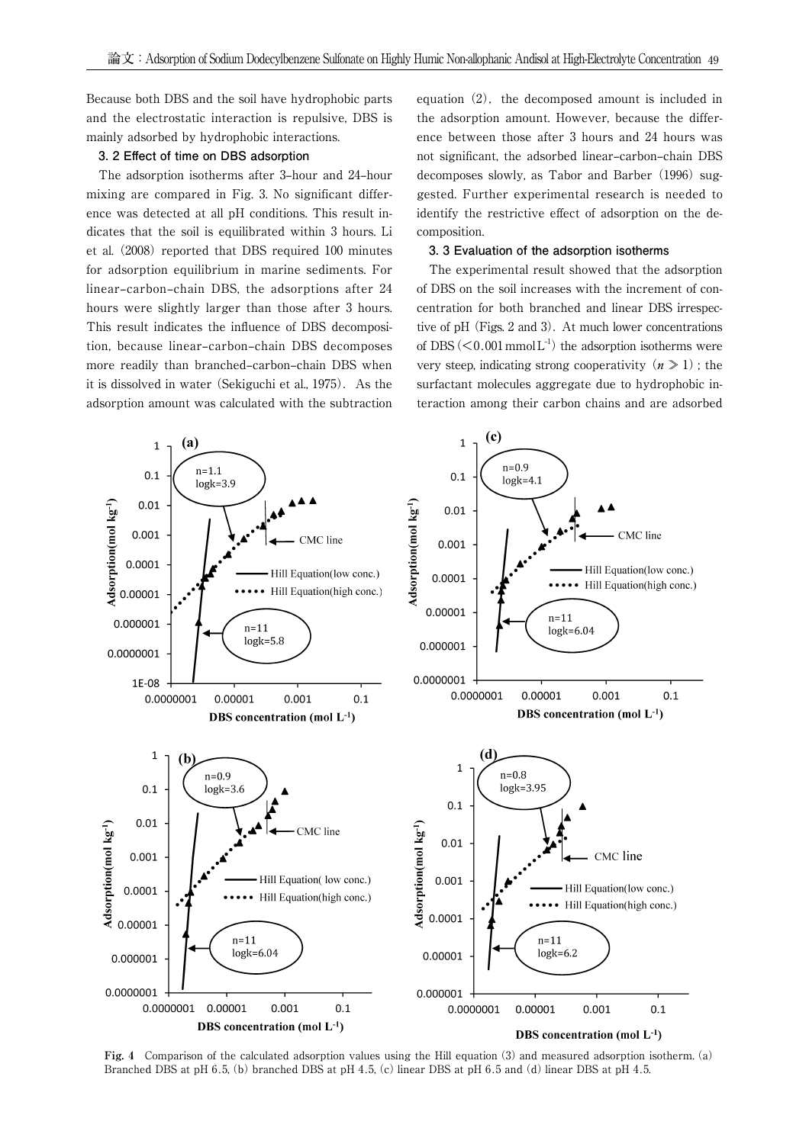Because both DBS and the soil have hydrophobic parts and the electrostatic interaction is repulsive, DBS is mainly adsorbed by hydrophobic interactions.

#### **3. 2 Effect of time on DBS adsorption**

The adsorption isotherms after 3-hour and 24-hour mixing are compared in Fig. 3. No significant difference was detected at all pH conditions. This result indicates that the soil is equilibrated within 3 hours. Li et al. (2008) reported that DBS required 100 minutes for adsorption equilibrium in marine sediments. For linear-carbon-chain DBS, the adsorptions after 24 hours were slightly larger than those after 3 hours. This result indicates the influence of DBS decomposition, because linear-carbon-chain DBS decomposes more readily than branched-carbon-chain DBS when it is dissolved in water (Sekiguchi et al., 1975). As the adsorption amount was calculated with the subtraction equation  $(2)$ , the decomposed amount is included in the adsorption amount. However, because the difference between those after 3 hours and 24 hours was not significant, the adsorbed linear-carbon-chain DBS decomposes slowly, as Tabor and Barber (1996) suggested. Further experimental research is needed to identify the restrictive effect of adsorption on the decomposition.

#### **3. 3 Evaluation of the adsorption isotherms**

 The experimental result showed that the adsorption of DBS on the soil increases with the increment of concentration for both branched and linear DBS irrespective of  $pH$  (Figs. 2 and 3). At much lower concentrations of DBS  $(< 0.001$  mmol L<sup>-1</sup>) the adsorption isotherms were very steep, indicating strong cooperativity  $(n \geq 1)$ ; the surfactant molecules aggregate due to hydrophobic interaction among their carbon chains and are adsorbed



**Fig. 4** Comparison of the calculated adsorption values using the Hill equation (3) and measured adsorption isotherm. (a) Branched DBS at pH 6.5, (b) branched DBS at pH 4.5, (c) linear DBS at pH 6.5 and (d) linear DBS at pH 4.5.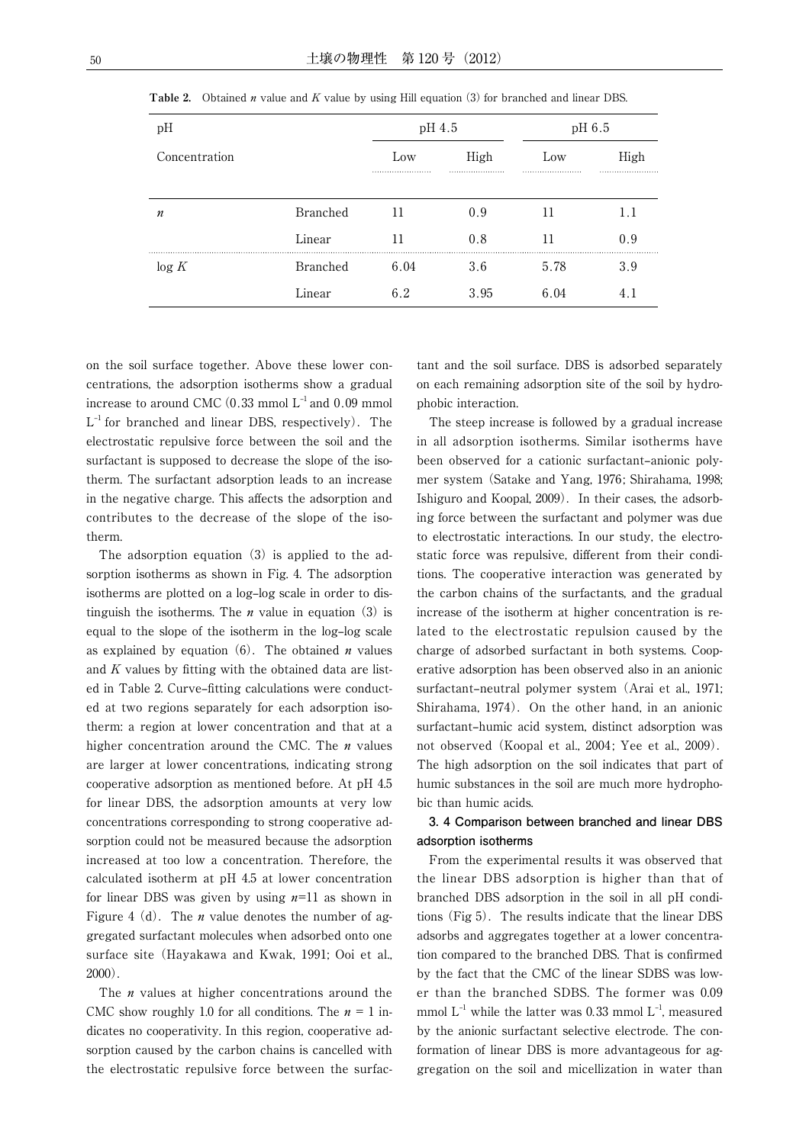| pH            |                 | pH 4.5 |      | pH 6.5 |      |
|---------------|-----------------|--------|------|--------|------|
| Concentration |                 | Low    | High | Low    | High |
|               |                 |        |      |        | .    |
| n             | Branched        | 11     | 0.9  | 11     | 1.1  |
|               | Linear          | 11     | 0.8  | 11     | 0.9  |
| log K         | <b>Branched</b> | 6.04   | 3.6  | 5.78   | 3.9  |
|               | Linear          | 6.2    | 3.95 | 6.04   | 4.1  |

**Table 2.** Obtained *n* value and  $K$  value by using Hill equation (3) for branched and linear DBS.

on the soil surface together. Above these lower concentrations, the adsorption isotherms show a gradual increase to around CMC (0.33 mmol  $L^{-1}$  and 0.09 mmol  $L^{-1}$  for branched and linear DBS, respectively). The electrostatic repulsive force between the soil and the surfactant is supposed to decrease the slope of the isotherm. The surfactant adsorption leads to an increase in the negative charge. This affects the adsorption and contributes to the decrease of the slope of the isotherm.

 The adsorption equation (3) is applied to the adsorption isotherms as shown in Fig. 4. The adsorption isotherms are plotted on a log-log scale in order to distinguish the isotherms. The *n* value in equation  $(3)$  is equal to the slope of the isotherm in the log-log scale as explained by equation  $(6)$ . The obtained *n* values and  $K$  values by fitting with the obtained data are listed in Table 2. Curve-fitting calculations were conducted at two regions separately for each adsorption isotherm: a region at lower concentration and that at a higher concentration around the CMC. The  $n$  values are larger at lower concentrations, indicating strong cooperative adsorption as mentioned before. At pH 4.5 for linear DBS, the adsorption amounts at very low concentrations corresponding to strong cooperative adsorption could not be measured because the adsorption increased at too low a concentration. Therefore, the calculated isotherm at pH 4.5 at lower concentration for linear DBS was given by using  $n=11$  as shown in Figure 4 (d). The *n* value denotes the number of aggregated surfactant molecules when adsorbed onto one surface site (Hayakawa and Kwak, 1991; Ooi et al., 2000).

The  $n$  values at higher concentrations around the CMC show roughly 1.0 for all conditions. The  $n = 1$  indicates no cooperativity. In this region, cooperative adsorption caused by the carbon chains is cancelled with the electrostatic repulsive force between the surfac-

tant and the soil surface. DBS is adsorbed separately on each remaining adsorption site of the soil by hydrophobic interaction.

 The steep increase is followed by a gradual increase in all adsorption isotherms. Similar isotherms have been observed for a cationic surfactant-anionic polymer system (Satake and Yang, 1976; Shirahama, 1998; Ishiguro and Koopal, 2009). In their cases, the adsorbing force between the surfactant and polymer was due to electrostatic interactions. In our study, the electrostatic force was repulsive, different from their conditions. The cooperative interaction was generated by the carbon chains of the surfactants, and the gradual increase of the isotherm at higher concentration is related to the electrostatic repulsion caused by the charge of adsorbed surfactant in both systems. Cooperative adsorption has been observed also in an anionic surfactant-neutral polymer system (Arai et al., 1971; Shirahama, 1974). On the other hand, in an anionic surfactant-humic acid system, distinct adsorption was not observed (Koopal et al., 2004; Yee et al., 2009). The high adsorption on the soil indicates that part of humic substances in the soil are much more hydrophobic than humic acids.

# **3. 4 Comparison between branched and linear DBS adsorption isotherms**

 From the experimental results it was observed that the linear DBS adsorption is higher than that of branched DBS adsorption in the soil in all pH conditions  $(Fig 5)$ . The results indicate that the linear DBS adsorbs and aggregates together at a lower concentration compared to the branched DBS. That is confirmed by the fact that the CMC of the linear SDBS was lower than the branched SDBS. The former was 0.09 mmol  $L^{-1}$  while the latter was 0.33 mmol  $L^{-1}$ , measured by the anionic surfactant selective electrode. The conformation of linear DBS is more advantageous for aggregation on the soil and micellization in water than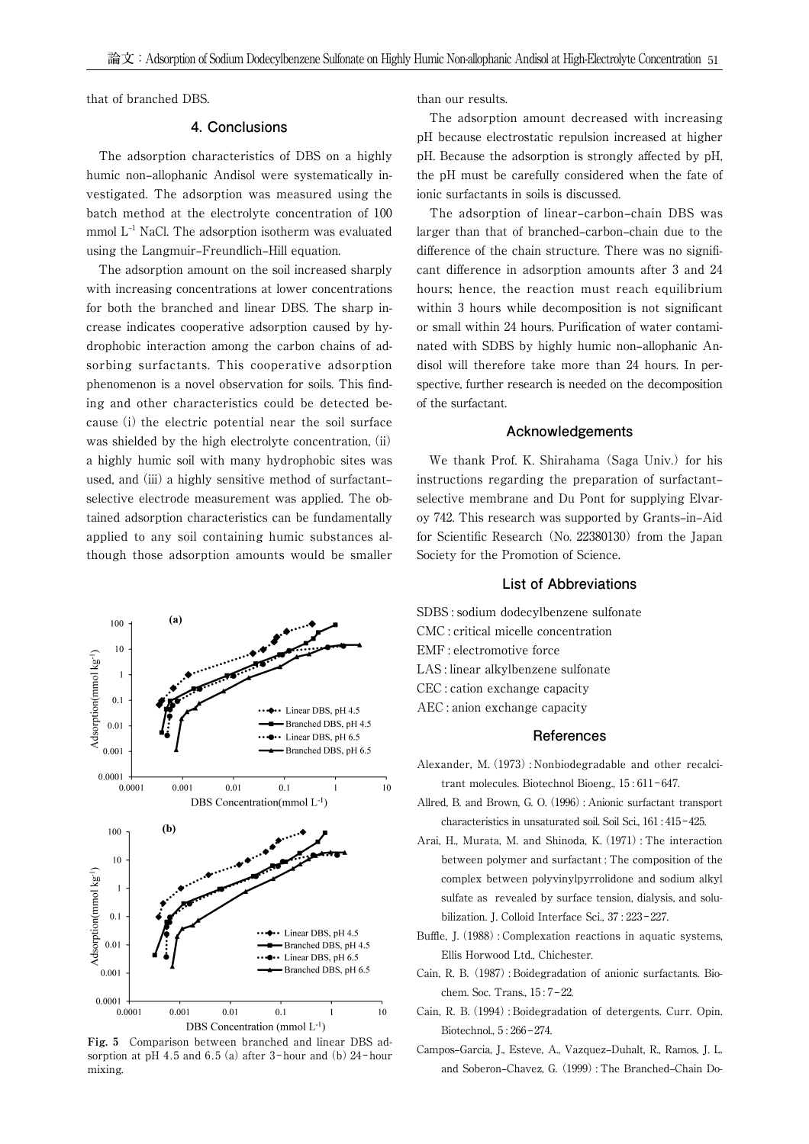that of branched DBS.

# **4. Conclusions**

 The adsorption characteristics of DBS on a highly humic non-allophanic Andisol were systematically investigated. The adsorption was measured using the batch method at the electrolyte concentration of 100 mmol  $L^{-1}$  NaCl. The adsorption isotherm was evaluated using the Langmuir–Freundlich–Hill equation.

 The adsorption amount on the soil increased sharply with increasing concentrations at lower concentrations for both the branched and linear DBS. The sharp increase indicates cooperative adsorption caused by hydrophobic interaction among the carbon chains of adsorbing surfactants. This cooperative adsorption phenomenon is a novel observation for soils. This finding and other characteristics could be detected because (i) the electric potential near the soil surface was shielded by the high electrolyte concentration, (ii) a highly humic soil with many hydrophobic sites was used, and (iii) a highly sensitive method of surfactantselective electrode measurement was applied. The obtained adsorption characteristics can be fundamentally applied to any soil containing humic substances although those adsorption amounts would be smaller



**Fig. 5** Comparison between branched and linear DBS adsorption at pH 4.5 and 6.5 (a) after  $3$ -hour and (b)  $24$ -hour mixing.

than our results.

 The adsorption amount decreased with increasing pH because electrostatic repulsion increased at higher pH. Because the adsorption is strongly affected by pH, the pH must be carefully considered when the fate of ionic surfactants in soils is discussed.

The adsorption of linear-carbon-chain DBS was larger than that of branched–carbon–chain due to the difference of the chain structure. There was no significant difference in adsorption amounts after 3 and 24 hours; hence, the reaction must reach equilibrium within 3 hours while decomposition is not significant or small within 24 hours. Purification of water contaminated with SDBS by highly humic non-allophanic Andisol will therefore take more than 24 hours. In perspective, further research is needed on the decomposition of the surfactant.

## **Acknowledgements**

 We thank Prof. K. Shirahama (Saga Univ.) for his instructions regarding the preparation of surfactantselective membrane and Du Pont for supplying Elvaroy 742. This research was supported by Grants-in-Aid for Scientific Research (No. 22380130) from the Japan Society for the Promotion of Science.

#### **List of Abbreviations**

SDBS : sodium dodecylbenzene sulfonate CMC : critical micelle concentration EMF : electromotive force LAS : linear alkylbenzene sulfonate CEC : cation exchange capacity AEC : anion exchange capacity

# **References**

- Alexander, M.(1973): Nonbiodegradable and other recalcitrant molecules. Biotechnol Bioeng., 15:611-647.
- Allred, B. and Brown, G. O.(1996): Anionic surfactant transport characteristics in unsaturated soil. Soil Sci., 161: 415-425.
- Arai, H., Murata, M. and Shinoda, K. (1971): The interaction between polymer and surfactant : The composition of the complex between polyvinylpyrrolidone and sodium alkyl sulfate as revealed by surface tension, dialysis, and solubilization. J. Colloid Interface Sci., 37: 223-227.
- Buffle, J. (1988): Complexation reactions in aquatic systems, Ellis Horwood Ltd., Chichester.
- Cain, R. B. (1987): Boidegradation of anionic surfactants. Biochem. Soc. Trans., 15:7-22.
- Cain, R. B.(1994): Boidegradation of detergents. Curr. Opin. Biotechnol., 5: 266-274.
- Campos–Garcia, J., Esteve, A., Vazquez–Duhalt, R., Ramos, J. L. and Soberon-Chavez, G. (1999): The Branched-Chain Do-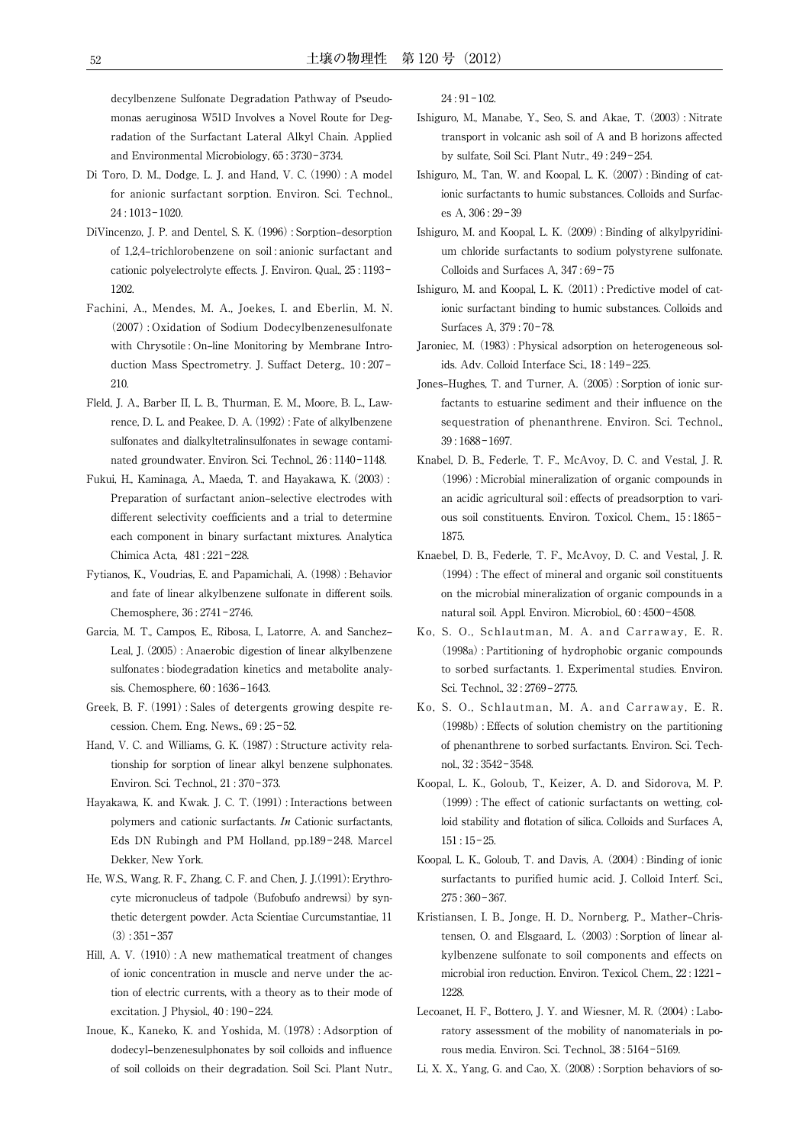decylbenzene Sulfonate Degradation Pathway of Pseudomonas aeruginosa W51D Involves a Novel Route for Degradation of the Surfactant Lateral Alkyl Chain. Applied and Environmental Microbiology, 65: 3730-3734.

- Di Toro, D. M., Dodge, L. J. and Hand, V. C. (1990): A model for anionic surfactant sorption. Environ. Sci. Technol., 24 : 1013‒1020.
- DiVincenzo, J. P. and Dentel, S. K. (1996): Sorption-desorption of 1,2,4‒trichlorobenzene on soil : anionic surfactant and cationic polyelectrolyte effects. J. Environ. Qual., 25:1193-1202.
- Fachini, A., Mendes, M. A., Joekes, I. and Eberlin, M. N. (2007): Oxidation of Sodium Dodecylbenzenesulfonate with Chrysotile : On-line Monitoring by Membrane Introduction Mass Spectrometry. J. Suffact Deterg., 10:207– 210.
- Fleld, J. A., Barber II, L. B., Thurman, E. M., Moore, B. L., Lawrence, D. L. and Peakee, D. A.(1992): Fate of alkylbenzene sulfonates and dialkyltetralinsulfonates in sewage contaminated groundwater. Environ. Sci. Technol., 26:1140-1148.
- Fukui, H., Kaminaga, A., Maeda, T. and Hayakawa, K.(2003): Preparation of surfactant anion-selective electrodes with different selectivity coefficients and a trial to determine each component in binary surfactant mixtures. Analytica Chimica Acta, 481 : 221-228.
- Fytianos, K., Voudrias, E. and Papamichali, A.(1998): Behavior and fate of linear alkylbenzene sulfonate in different soils. Chemosphere, 36: 2741-2746.
- Garcia, M. T., Campos, E., Ribosa, I., Latorre, A. and Sanchez-Leal, J.(2005): Anaerobic digestion of linear alkylbenzene sulfonates : biodegradation kinetics and metabolite analysis. Chemosphere, 60:1636-1643.
- Greek, B. F.(1991): Sales of detergents growing despite recession. Chem. Eng. News., 69:25-52.
- Hand, V. C. and Williams, G. K. (1987): Structure activity relationship for sorption of linear alkyl benzene sulphonates. Environ. Sci. Technol., 21:370-373.
- Hayakawa, K. and Kwak. J. C. T. (1991): Interactions between polymers and cationic surfactants. In Cationic surfactants, Eds DN Rubingh and PM Holland, pp.189-248. Marcel Dekker, New York.
- He, W.S., Wang, R. F., Zhang, C. F. and Chen, J. J. (1991): Erythrocyte micronucleus of tadpole (Bufobufo andrewsi) by synthetic detergent powder. Acta Scientiae Curcumstantiae, 11  $(3): 351 - 357$
- Hill, A. V. (1910): A new mathematical treatment of changes of ionic concentration in muscle and nerve under the action of electric currents, with a theory as to their mode of excitation. J Physiol.,  $40:190-224$ .
- Inoue, K., Kaneko, K. and Yoshida, M.(1978): Adsorption of dodecyl-benzenesulphonates by soil colloids and influence of soil colloids on their degradation. Soil Sci. Plant Nutr.,

 $24:91-102.$ 

- Ishiguro, M., Manabe, Y., Seo, S. and Akae, T. (2003): Nitrate transport in volcanic ash soil of A and B horizons affected by sulfate, Soil Sci. Plant Nutr., 49: 249-254.
- Ishiguro, M., Tan, W. and Koopal, L. K. (2007): Binding of cationic surfactants to humic substances. Colloids and Surfaces A, 306 : 29‒39
- Ishiguro, M. and Koopal, L. K. (2009): Binding of alkylpyridinium chloride surfactants to sodium polystyrene sulfonate. Colloids and Surfaces A, 347:69-75
- Ishiguro, M. and Koopal, L. K. (2011): Predictive model of cationic surfactant binding to humic substances. Colloids and Surfaces A, 379: 70-78.
- Jaroniec, M. (1983): Physical adsorption on heterogeneous solids. Adv. Colloid Interface Sci., 18:149-225.
- Jones–Hughes, T. and Turner, A. (2005): Sorption of ionic surfactants to estuarine sediment and their influence on the sequestration of phenanthrene. Environ. Sci. Technol., 39 : 1688‒1697.
- Knabel, D. B., Federle, T. F., McAvoy, D. C. and Vestal, J. R. (1996): Microbial mineralization of organic compounds in an acidic agricultural soil : effects of preadsorption to various soil constituents. Environ. Toxicol. Chem., 15:1865-1875.
- Knaebel, D. B., Federle, T. F., McAvoy, D. C. and Vestal, J. R.  $(1994)$ : The effect of mineral and organic soil constituents on the microbial mineralization of organic compounds in a natural soil. Appl. Environ. Microbiol., 60:4500-4508.
- Ko, S. O., Schlautman, M. A. and Carraway, E. R. (1998a): Partitioning of hydrophobic organic compounds to sorbed surfactants. 1. Experimental studies. Environ. Sci. Technol., 32: 2769-2775.
- Ko, S. O., Schlautman, M. A. and Carraway, E. R.  $(1998b)$ : Effects of solution chemistry on the partitioning of phenanthrene to sorbed surfactants. Environ. Sci. Technol., 32 : 3542‒3548.
- Koopal, L. K., Goloub, T., Keizer, A. D. and Sidorova, M. P.  $(1999)$ : The effect of cationic surfactants on wetting, colloid stability and flotation of silica. Colloids and Surfaces A,  $151:15-25.$
- Koopal, L. K., Goloub, T. and Davis, A. (2004): Binding of ionic surfactants to purified humic acid. J. Colloid Interf. Sci.,  $275:360 - 367.$
- Kristiansen, I. B., Jonge, H. D., Nornberg, P., Mather-Christensen, O. and Elsgaard, L. (2003): Sorption of linear alkylbenzene sulfonate to soil components and effects on microbial iron reduction. Environ. Texicol. Chem., 22: 1221-1228.
- Lecoanet, H. F., Bottero, J. Y. and Wiesner, M. R. (2004): Laboratory assessment of the mobility of nanomaterials in porous media. Environ. Sci. Technol., 38: 5164-5169.
- Li, X. X., Yang, G. and Cao, X. (2008): Sorption behaviors of so-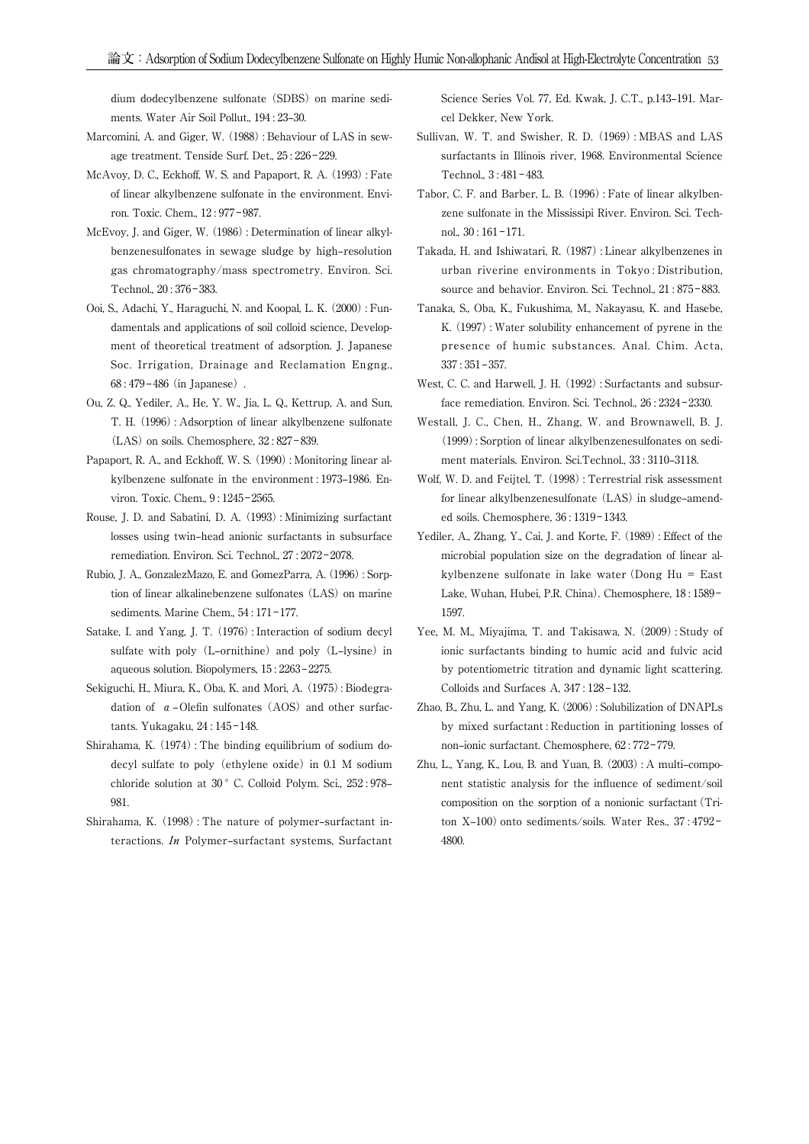dium dodecylbenzene sulfonate (SDBS) on marine sediments. Water Air Soil Pollut., 194: 23-30.

- Marcomini, A. and Giger, W. (1988): Behaviour of LAS in sewage treatment. Tenside Surf. Det., 25: 226-229.
- McAvoy, D. C., Eckhoff, W. S. and Papaport, R. A. (1993): Fate of linear alkylbenzene sulfonate in the environment. Environ. Toxic. Chem., 12: 977-987.
- McEvoy, J. and Giger, W. (1986): Determination of linear alkylbenzenesulfonates in sewage sludge by high-resolution gas chromatography/mass spectrometry. Environ. Sci. Technol., 20:376-383.
- Ooi, S., Adachi, Y., Haraguchi, N. and Koopal, L. K. (2000): Fundamentals and applications of soil colloid science, Development of theoretical treatment of adsorption. J. Japanese Soc. Irrigation, Drainage and Reclamation Engng.,  $68:479-486$  (in Japanese).
- Ou, Z. Q., Yediler, A., He, Y. W., Jia, L. Q., Kettrup, A. and Sun, T. H. (1996): Adsorption of linear alkylbenzene sulfonate  $(LAS)$  on soils. Chemosphere,  $32:827-839$ .
- Papaport, R. A., and Eckhoff, W. S. (1990): Monitoring linear alkylbenzene sulfonate in the environment : 1973–1986. Environ. Toxic. Chem., 9: 1245-2565.
- Rouse, J. D. and Sabatini, D. A. (1993): Minimizing surfactant losses using twin-head anionic surfactants in subsurface remediation. Environ. Sci. Technol., 27: 2072-2078.
- Rubio, J. A., GonzalezMazo, E. and GomezParra, A.(1996): Sorption of linear alkalinebenzene sulfonates (LAS) on marine sediments. Marine Chem., 54:171-177.
- Satake, I. and Yang, J. T. (1976): Interaction of sodium decyl sulfate with poly (L–ornithine) and poly (L–lysine) in aqueous solution. Biopolymers, 15:2263-2275.
- Sekiguchi, H., Miura, K., Oba, K. and Mori, A.(1975): Biodegradation of  $\alpha$ –Olefin sulfonates (AOS) and other surfactants. Yukagaku, 24:145-148.
- Shirahama, K. (1974): The binding equilibrium of sodium dodecyl sulfate to poly(ethylene oxide) in 0.1 M sodium chloride solution at 30°C. Colloid Polym. Sci., 252:978-981.
- Shirahama, K. (1998): The nature of polymer-surfactant interactions. In Polymer-surfactant systems, Surfactant

Science Series Vol. 77, Ed. Kwak, J. C.T., p.143-191. Marcel Dekker, New York.

- Sullivan, W. T. and Swisher, R. D. (1969): MBAS and LAS surfactants in Illinois river, 1968. Environmental Science Technol., 3:481-483.
- Tabor, C. F. and Barber, L. B. (1996): Fate of linear alkylbenzene sulfonate in the Mississipi River. Environ. Sci. Technol.,  $30:161-171$ .
- Takada, H. and Ishiwatari, R. (1987): Linear alkylbenzenes in urban riverine environments in Tokyo : Distribution, source and behavior. Environ. Sci. Technol., 21:875-883.
- Tanaka, S., Oba, K., Fukushima, M., Nakayasu, K. and Hasebe, K. (1997): Water solubility enhancement of pyrene in the presence of humic substances. Anal. Chim. Acta,  $337 : 351 - 357.$
- West, C. C. and Harwell, J. H. (1992): Surfactants and subsurface remediation. Environ. Sci. Technol., 26: 2324-2330.
- Westall, J. C., Chen, H., Zhang, W. and Brownawell, B. J. (1999): Sorption of linear alkylbenzenesulfonates on sediment materials. Environ. Sci.Technol., 33:3110-3118.
- Wolf, W. D. and Feijtel, T. (1998): Terrestrial risk assessment for linear alkylbenzenesulfonate (LAS) in sludge-amended soils. Chemosphere, 36:1319-1343.
- Yediler, A., Zhang, Y., Cai, J. and Korte, F. (1989): Effect of the microbial population size on the degradation of linear alkylbenzene sulfonate in lake water (Dong Hu = East Lake, Wuhan, Hubei, P.R. China). Chemosphere, 18:1589-1597.
- Yee, M. M., Miyajima, T. and Takisawa, N. (2009): Study of ionic surfactants binding to humic acid and fulvic acid by potentiometric titration and dynamic light scattering. Colloids and Surfaces A, 347: 128-132.
- Zhao, B., Zhu, L. and Yang, K.(2006): Solubilization of DNAPLs by mixed surfactant : Reduction in partitioning losses of non-ionic surfactant. Chemosphere, 62:772-779.
- Zhu, L., Yang, K., Lou, B. and Yuan, B. (2003): A multi-component statistic analysis for the influence of sediment/soil composition on the sorption of a nonionic surfactant (Triton X-100) onto sediments/soils. Water Res., 37:4792-4800.